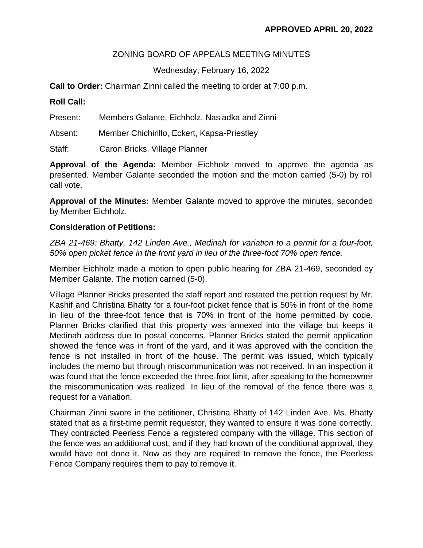## ZONING BOARD OF APPEALS MEETING MINUTES

## Wednesday, February 16, 2022

**Call to Order:** Chairman Zinni called the meeting to order at 7:00 p.m.

## **Roll Call:**

| Present: | Members Galante, Eichholz, Nasiadka and Zinni |
|----------|-----------------------------------------------|
| Absent:  | Member Chichirillo, Eckert, Kapsa-Priestley   |
| Staff:   | Caron Bricks, Village Planner                 |

**Approval of the Agenda:** Member Eichholz moved to approve the agenda as presented. Member Galante seconded the motion and the motion carried (5-0) by roll call vote.

**Approval of the Minutes:** Member Galante moved to approve the minutes, seconded by Member Eichholz.

## **Consideration of Petitions:**

*ZBA 21-469: Bhatty, 142 Linden Ave., Medinah for variation to a permit for a four-foot, 50% open picket fence in the front yard in lieu of the three-foot 70% open fence.*

Member Eichholz made a motion to open public hearing for ZBA 21-469, seconded by Member Galante. The motion carried (5-0).

Village Planner Bricks presented the staff report and restated the petition request by Mr. Kashif and Christina Bhatty for a four-foot picket fence that is 50% in front of the home in lieu of the three-foot fence that is 70% in front of the home permitted by code. Planner Bricks clarified that this property was annexed into the village but keeps it Medinah address due to postal concerns. Planner Bricks stated the permit application showed the fence was in front of the yard, and it was approved with the condition the fence is not installed in front of the house. The permit was issued, which typically includes the memo but through miscommunication was not received. In an inspection it was found that the fence exceeded the three-foot limit, after speaking to the homeowner the miscommunication was realized. In lieu of the removal of the fence there was a request for a variation.

Chairman Zinni swore in the petitioner, Christina Bhatty of 142 Linden Ave. Ms. Bhatty stated that as a first-time permit requestor, they wanted to ensure it was done correctly. They contracted Peerless Fence a registered company with the village. This section of the fence was an additional cost, and if they had known of the conditional approval, they would have not done it. Now as they are required to remove the fence, the Peerless Fence Company requires them to pay to remove it.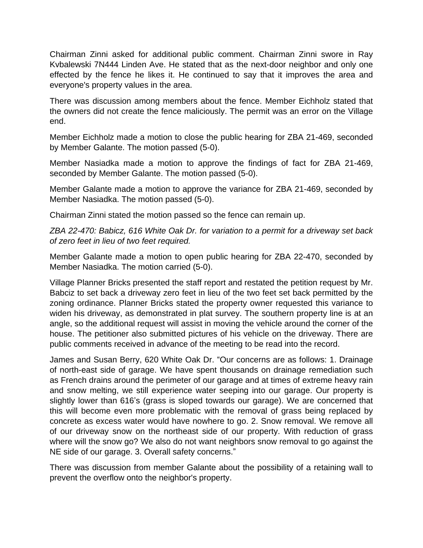Chairman Zinni asked for additional public comment. Chairman Zinni swore in Ray Kvbalewski 7N444 Linden Ave. He stated that as the next-door neighbor and only one effected by the fence he likes it. He continued to say that it improves the area and everyone's property values in the area.

There was discussion among members about the fence. Member Eichholz stated that the owners did not create the fence maliciously. The permit was an error on the Village end.

Member Eichholz made a motion to close the public hearing for ZBA 21-469, seconded by Member Galante. The motion passed (5-0).

Member Nasiadka made a motion to approve the findings of fact for ZBA 21-469, seconded by Member Galante. The motion passed (5-0).

Member Galante made a motion to approve the variance for ZBA 21-469, seconded by Member Nasiadka. The motion passed (5-0).

Chairman Zinni stated the motion passed so the fence can remain up.

*ZBA 22-470: Babicz, 616 White Oak Dr. for variation to a permit for a driveway set back of zero feet in lieu of two feet required.*

Member Galante made a motion to open public hearing for ZBA 22-470, seconded by Member Nasiadka. The motion carried (5-0).

Village Planner Bricks presented the staff report and restated the petition request by Mr. Babciz to set back a driveway zero feet in lieu of the two feet set back permitted by the zoning ordinance. Planner Bricks stated the property owner requested this variance to widen his driveway, as demonstrated in plat survey. The southern property line is at an angle, so the additional request will assist in moving the vehicle around the corner of the house. The petitioner also submitted pictures of his vehicle on the driveway. There are public comments received in advance of the meeting to be read into the record.

James and Susan Berry, 620 White Oak Dr. "Our concerns are as follows: 1. Drainage of north-east side of garage. We have spent thousands on drainage remediation such as French drains around the perimeter of our garage and at times of extreme heavy rain and snow melting, we still experience water seeping into our garage. Our property is slightly lower than 616's (grass is sloped towards our garage). We are concerned that this will become even more problematic with the removal of grass being replaced by concrete as excess water would have nowhere to go. 2. Snow removal. We remove all of our driveway snow on the northeast side of our property. With reduction of grass where will the snow go? We also do not want neighbors snow removal to go against the NE side of our garage. 3. Overall safety concerns."

There was discussion from member Galante about the possibility of a retaining wall to prevent the overflow onto the neighbor's property.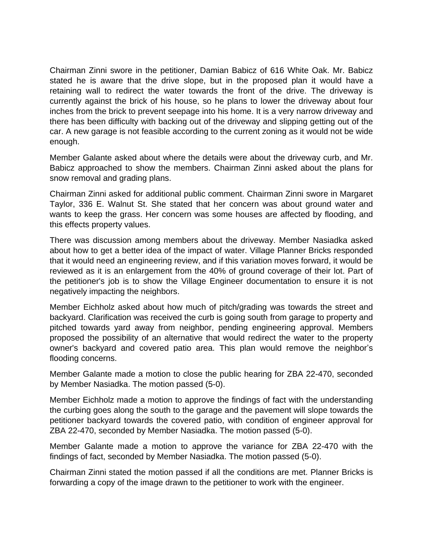Chairman Zinni swore in the petitioner, Damian Babicz of 616 White Oak. Mr. Babicz stated he is aware that the drive slope, but in the proposed plan it would have a retaining wall to redirect the water towards the front of the drive. The driveway is currently against the brick of his house, so he plans to lower the driveway about four inches from the brick to prevent seepage into his home. It is a very narrow driveway and there has been difficulty with backing out of the driveway and slipping getting out of the car. A new garage is not feasible according to the current zoning as it would not be wide enough.

Member Galante asked about where the details were about the driveway curb, and Mr. Babicz approached to show the members. Chairman Zinni asked about the plans for snow removal and grading plans.

Chairman Zinni asked for additional public comment. Chairman Zinni swore in Margaret Taylor, 336 E. Walnut St. She stated that her concern was about ground water and wants to keep the grass. Her concern was some houses are affected by flooding, and this effects property values.

There was discussion among members about the driveway. Member Nasiadka asked about how to get a better idea of the impact of water. Village Planner Bricks responded that it would need an engineering review, and if this variation moves forward, it would be reviewed as it is an enlargement from the 40% of ground coverage of their lot. Part of the petitioner's job is to show the Village Engineer documentation to ensure it is not negatively impacting the neighbors.

Member Eichholz asked about how much of pitch/grading was towards the street and backyard. Clarification was received the curb is going south from garage to property and pitched towards yard away from neighbor, pending engineering approval. Members proposed the possibility of an alternative that would redirect the water to the property owner's backyard and covered patio area. This plan would remove the neighbor's flooding concerns.

Member Galante made a motion to close the public hearing for ZBA 22-470, seconded by Member Nasiadka. The motion passed (5-0).

Member Eichholz made a motion to approve the findings of fact with the understanding the curbing goes along the south to the garage and the pavement will slope towards the petitioner backyard towards the covered patio, with condition of engineer approval for ZBA 22-470, seconded by Member Nasiadka. The motion passed (5-0).

Member Galante made a motion to approve the variance for ZBA 22-470 with the findings of fact, seconded by Member Nasiadka. The motion passed (5-0).

Chairman Zinni stated the motion passed if all the conditions are met. Planner Bricks is forwarding a copy of the image drawn to the petitioner to work with the engineer.